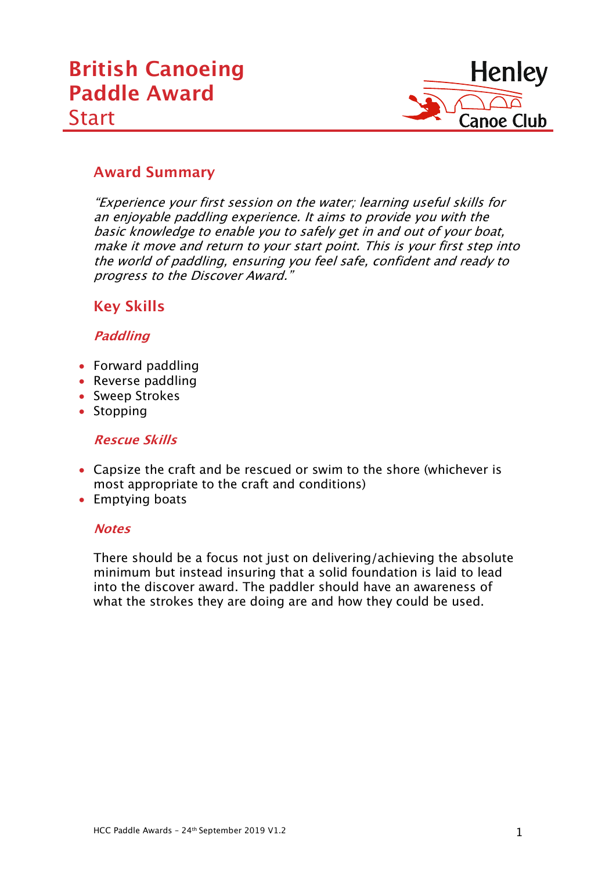

# **Award Summary**

"Experience your first session on the water; learning useful skills for an enjoyable paddling experience. It aims to provide you with the basic knowledge to enable you to safely get in and out of your boat, make it move and return to your start point. This is your first step into the world of paddling, ensuring you feel safe, confident and ready to progress to the Discover Award."

## **Key Skills**

#### **Paddling**

- Forward paddling
- Reverse paddling
- Sweep Strokes
- Stopping

#### **Rescue Skills**

- Capsize the craft and be rescued or swim to the shore (whichever is most appropriate to the craft and conditions)
- Emptying boats

#### **Notes**

There should be a focus not just on delivering/achieving the absolute minimum but instead insuring that a solid foundation is laid to lead into the discover award. The paddler should have an awareness of what the strokes they are doing are and how they could be used.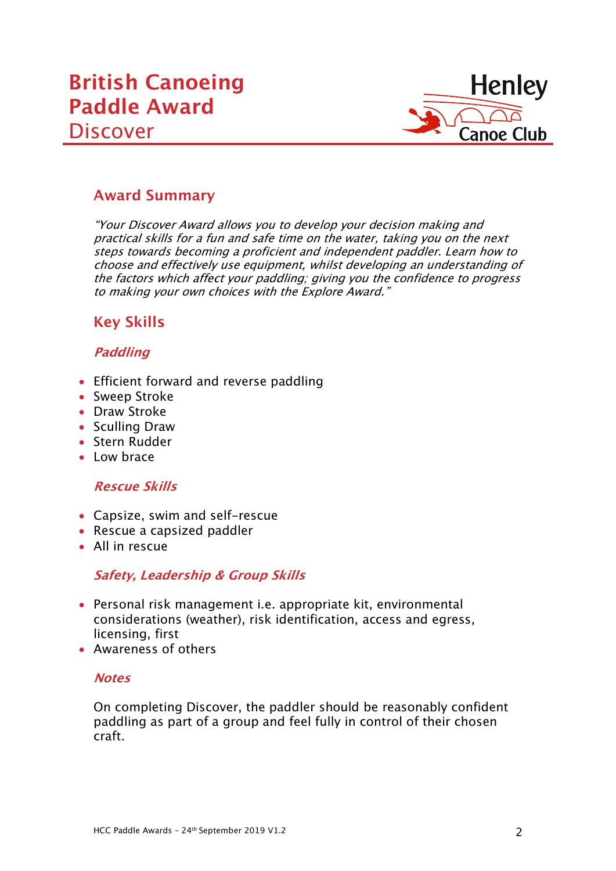

## **Award Summary**

"Your Discover Award allows you to develop your decision making and practical skills for a fun and safe time on the water, taking you on the next steps towards becoming a proficient and independent paddler. Learn how to choose and effectively use equipment, whilst developing an understanding of the factors which affect your paddling; giving you the confidence to progress to making your own choices with the Explore Award."

# **Key Skills**

## **Paddling**

- Efficient forward and reverse paddling
- Sweep Stroke
- Draw Stroke
- Sculling Draw
- Stern Rudder
- Low brace

#### **Rescue Skills**

- Capsize, swim and self-rescue
- Rescue a capsized paddler
- All in rescue

## **Safety, Leadership & Group Skills**

- Personal risk management i.e. appropriate kit, environmental considerations (weather), risk identification, access and egress, licensing, first
- Awareness of others

#### **Notes**

On completing Discover, the paddler should be reasonably confident paddling as part of a group and feel fully in control of their chosen craft.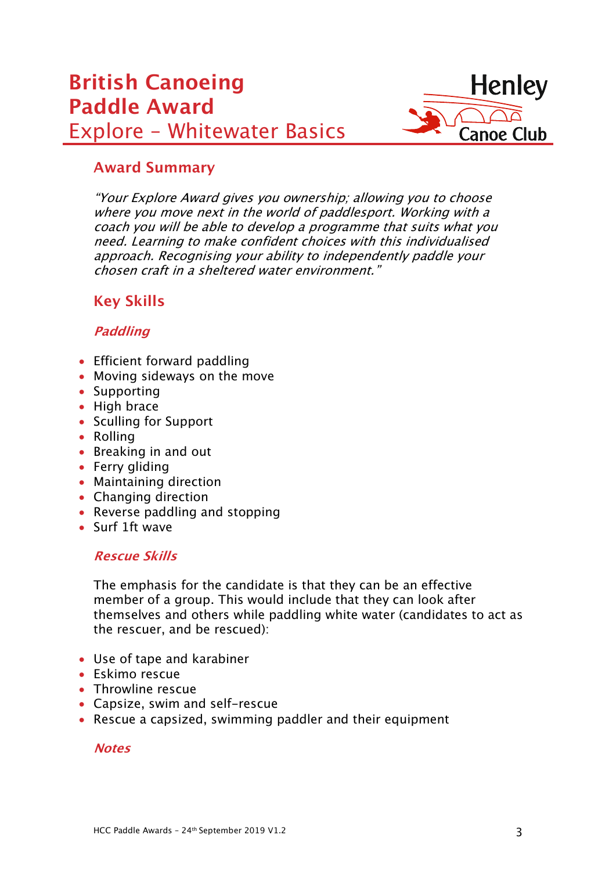# **British Canoeing Paddle Award** Explore – Whitewater Basics



## **Award Summary**

"Your Explore Award gives you ownership; allowing you to choose where you move next in the world of paddlesport. Working with a coach you will be able to develop a programme that suits what you need. Learning to make confident choices with this individualised approach. Recognising your ability to independently paddle your chosen craft in a sheltered water environment."

# **Key Skills**

## **Paddling**

- Efficient forward paddling
- Moving sideways on the move
- Supporting
- High brace
- Sculling for Support
- Rolling
- Breaking in and out
- Ferry gliding
- Maintaining direction
- Changing direction
- Reverse paddling and stopping
- Surf 1ft wave

#### **Rescue Skills**

The emphasis for the candidate is that they can be an effective member of a group. This would include that they can look after themselves and others while paddling white water (candidates to act as the rescuer, and be rescued):

- Use of tape and karabiner
- Eskimo rescue
- Throwline rescue
- Capsize, swim and self-rescue
- Rescue a capsized, swimming paddler and their equipment

#### **Notes**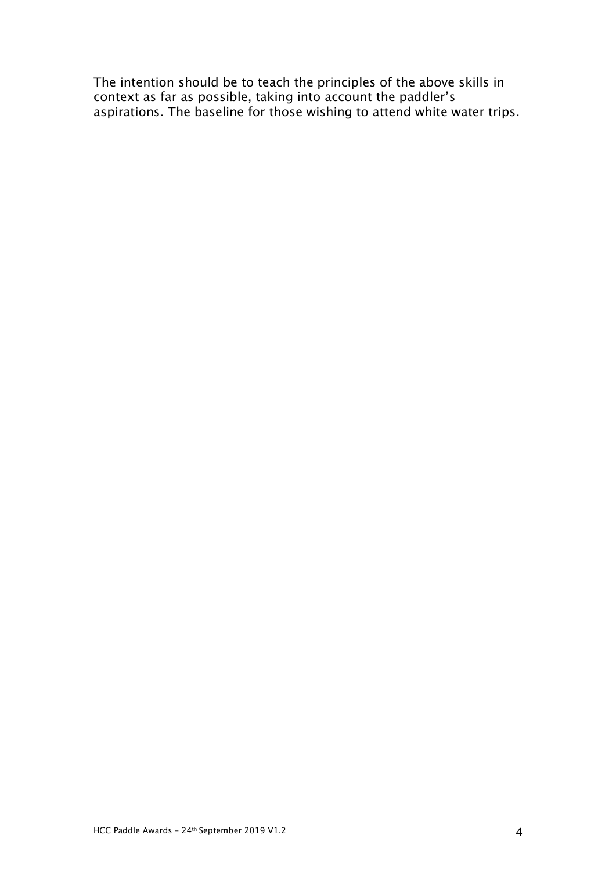The intention should be to teach the principles of the above skills in context as far as possible, taking into account the paddler's aspirations. The baseline for those wishing to attend white water trips.